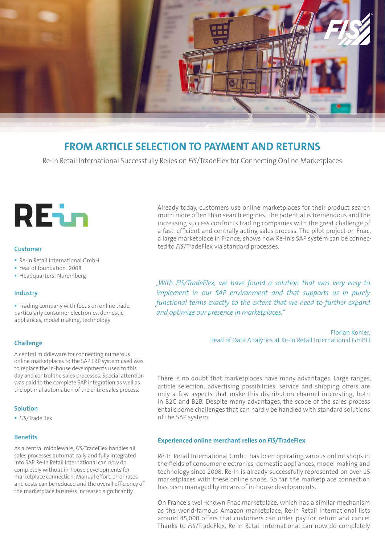

# **FROM ARTICLE SELECTION TO PAYMENT AND RETURNS**

Re-In Retail International Successfully Relies on *FIS*/TradeFlex for Connecting Online Marketplaces

# REin

#### **Customer**

- Re-In Retail International GmbH
- Year of foundation: 2008
- **Headquarters: Nuremberg**

#### **Industry**

Trading company with focus on online trade, particularly consumer electronics, domestic appliances, model making, technology

#### **Challenge**

A central middleware for connecting numerous online marketplaces to the SAP ERP system used was to replace the in-house developments used to this day and control the sales processes. Special attention was paid to the complete SAP integration as well as the optimal automation of the entire sales process.

#### **Solution**

*FIS*/TradeFlex

#### **Benefits**

As a central middleware, *FIS/*TradeFlex handles all sales processes automatically and fully integrated into SAP. Re-In Retail International can now do completely without in-house developments for marketplace connection. Manual effort, error rates and costs can be reduced and the overall efficiency of the marketplace business increased significantly.

Already today, customers use online marketplaces for their product search much more often than search engines. The potential is tremendous and the increasing success confronts trading companies with the great challenge of a fast, efficient and centrally acting sales process. The pilot project on Fnac, a large marketplace in France, shows how Re-In's SAP system can be connected to *FIS*/TradeFlex via standard processes.

*"With FIS/TradeFlex, we have found a solution that was very easy to implement in our SAP environment and that supports us in purely functional terms exactly to the extent that we need to further expand and optimize our presence in marketplaces."* 

> Florian Kohler, Head of Data Analytics at Re-In Retail International GmbH

There is no doubt that marketplaces have many advantages. Large ranges, article selection, advertising possibilities, service and shipping offers are only a few aspects that make this distribution channel interesting, both in B2C and B2B. Despite many advantages, the scope of the sales process entails some challenges that can hardly be handled with standard solutions of the SAP system.

#### **Experienced online merchant relies on** *FIS***/TradeFlex**

Re-In Retail International GmbH has been operating various online shops in the fields of consumer electronics, domestic appliances, model making and technology since 2008. Re-In is already successfully represented on over 15 marketplaces with these online shops. So far, the marketplace connection has been managed by means of in-house developments.

On France's well-known Fnac marketplace, which has a similar mechanism as the world-famous Amazon marketplace, Re-In Retail International lists around 45,000 offers that customers can order, pay for, return and cancel. Thanks to *FIS*/TradeFlex, Re-In Retail International can now do completely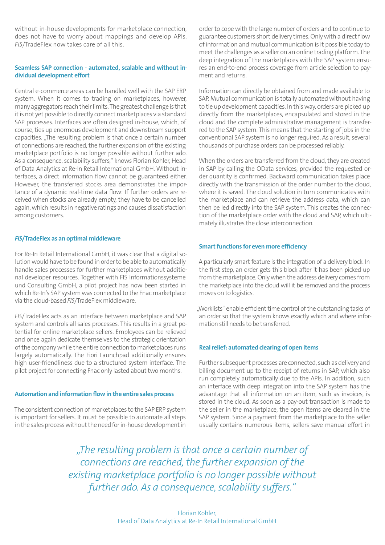without in-house developments for marketplace connection, does not have to worry about mappings and develop APIs. *FIS*/TradeFlex now takes care of all this.

### **Seamless SAP connection - automated, scalable and without individual development effort**

Central e-commerce areas can be handled well with the SAP ERP system. When it comes to trading on marketplaces, however, many aggregators reach their limits. The greatest challenge is that it is not yet possible to directly connect marketplaces via standard SAP processes. Interfaces are often designed in-house, which, of course, ties up enormous development and downstream support capacities. "The resulting problem is that once a certain number of connections are reached, the further expansion of the existing marketplace portfolio is no longer possible without further ado. As a consequence, scalability suffers," knows Florian Kohler, Head of Data Analytics at Re-In Retail International GmbH. Without interfaces, a direct information flow cannot be guaranteed either. However, the transferred stocks area demonstrates the importance of a dynamic real-time data flow: If further orders are received when stocks are already empty, they have to be cancelled again, which results in negative ratings and causes dissatisfaction among customers.

#### *FIS***/TradeFlex as an optimal middleware**

For Re-In Retail International GmbH, it was clear that a digital solution would have to be found in order to be able to automatically handle sales processes for further marketplaces without additional developer resources. Together with FIS Informationssysteme und Consulting GmbH, a pilot project has now been started in which Re-In's SAP system was connected to the Fnac marketplace via the cloud-based *FIS*/TradeFlex middleware.

*FIS*/TradeFlex acts as an interface between marketplace and SAP system and controls all sales processes. This results in a great potential for online marketplace sellers. Employees can be relieved and once again dedicate themselves to the strategic orientation of the company while the entire connection to marketplaces runs largely automatically. The Fiori Launchpad additionally ensures high user-friendliness due to a structured system interface. The pilot project for connecting Fnac only lasted about two months.

#### **Automation and information flow in the entire sales process**

The consistent connection of marketplaces to the SAP ERP system is important for sellers. It must be possible to automate all steps in the sales process without the need for in-house development in order to cope with the large number of orders and to continue to guarantee customers short delivery times. Only with a direct flow of information and mutual communication is it possible today to meet the challenges as a seller on an online trading platform. The deep integration of the marketplaces with the SAP system ensures an end-to-end process coverage from article selection to payment and returns.

Information can directly be obtained from and made available to SAP. Mutual communication is totally automated without having to tie up development capacities. In this way, orders are picked up directly from the marketplaces, encapsulated and stored in the cloud and the complete administrative management is transferred to the SAP system. This means that the starting of jobs in the conventional SAP system is no longer required. As a result, several thousands of purchase orders can be processed reliably.

When the orders are transferred from the cloud, they are created in SAP by calling the OData services, provided the requested order quantity is confirmed. Backward communication takes place directly with the transmission of the order number to the cloud, where it is saved. The cloud solution in turn communicates with the marketplace and can retrieve the address data, which can then be led directly into the SAP system. This creates the connection of the marketplace order with the cloud and SAP, which ultimately illustrates the close interconnection.

#### **Smart functions for even more efficiency**

A particularly smart feature is the integration of a delivery block. In the first step, an order gets this block after it has been picked up from the marketplace. Only when the address delivery comes from the marketplace into the cloud will it be removed and the process moves on to logistics.

..Worklists" enable efficient time control of the outstanding tasks of an order so that the system knows exactly which and where information still needs to be transferred.

#### **Real relief: automated clearing of open items**

Further subsequent processes are connected, such as delivery and billing document up to the receipt of returns in SAP, which also run completely automatically due to the APIs. In addition, such an interface with deep integration into the SAP system has the advantage that all information on an item, such as invoices, is stored in the cloud. As soon as a pay-out transaction is made to the seller in the marketplace, the open items are cleared in the SAP system. Since a payment from the marketplace to the seller usually contains numerous items, sellers save manual effort in

*"The resulting problem is that once a certain number of connections are reached, the further expansion of the existing marketplace portfolio is no longer possible without further ado. As a consequence, scalability suffers."*